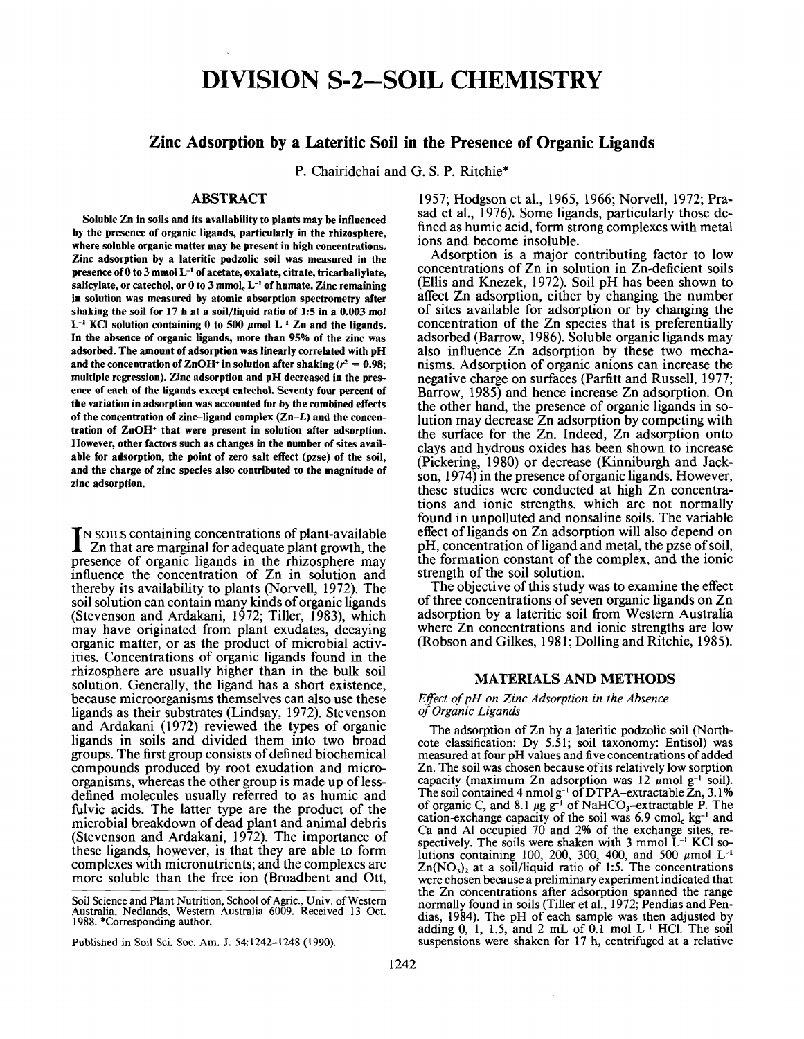# **DIVISION S-2-SOIL CHEMISTRY DIVISION S-2-S0IL CHEMISTRY**

## **Zinc Adsorption by a Lateritic Soil in the Presence of Organic Ligands Zinc Adsorption by a Lateritic Soil in the Presence of Organic Ligands**

P. Chairidchai and G. S. P. Ritchie\* P. Chairidchai and G. S. P. Ritchie\*

### **ABSTRACT** ABSTRACT

**Soluble Zn in soils and its availability to plants may be influenced** Soluble Zn in soils and its availability to plants may be influenced **by the presence of organic ligands, particularly in the rhizosphere,** by the presence of organic ligands, particularly in the rhizosphere, **where soluble organic matter may be present in high concentrations.** where soluble organic matter may be present in high concentrations. **Zinc adsorption by a lateritic podzolic soil was measured in the** Zinc adsorption by a lateritic podzolic soil was measured in the presence of 0 to 3 mmol L<sup>-1</sup> of acetate, oxalate, citrate, tricarballylate, salicylate, or catechol, or **0** to 3 mmol<sub>c</sub> L<sup>-1</sup> of humate. Zinc remaining **in solution was measured by atomic absorption spectrometry after** in solution was measured by atomic absorption spectrometry after **shaking the soil for 17 h at a soil/liquid ratio of 1:5 in a 0.003 mol** shaking the soil for 17 h at a soil/liquid ratio of 1:5 in a 0.003 mol<br>L<sup>-1</sup> KCl solution containing 0 to 500 µmol L<sup>-1</sup> Zn and the ligands. **In the absence of organic ligands, more than 95% of the zinc was** In the absence of organic ligands, more than 95% of the zinc was **adsorbed. The amount of adsorption was linearly correlated with pH** adsorbed. The amount of adsorption was linearly correlated with pH and the concentration of ZnOH<sup>+</sup> in solution after shaking  $(r^2 = 0.98;$ **multiple regression). Zinc adsorption and pH decreased in the pres** multiple regression). Zinc adsorption and pH decreased in the pres **ence of each of the ligands except catechol. Seventy four percent of** ence of each of the ligands except catechol. Seventy four percent of **the variation in adsorption was accounted for by the combined effects** the variation in adsorption was accounted for by the combined effects **of the concentration of zinc-ligand complex (Zn-L) and the concen** of the concentration of zinc-ligand complex (Zn-L) and the concen **tration of ZnOH+ that were present in solution after adsorption.** tration of ZnOH+ that were present in solution after adsorption. **However, other factors such as changes in the number of sites avail** However, other factors such as changes in the number of sites avail **able for adsorption, the point of zero salt effect (pzse) of the soil,** able for adsorption, the point of zero salt effect (pzse) of the soil, **and the charge of zinc species also contributed to the magnitude of** and the charge of zinc species also contributed to the magnitude of **zinc adsorption.** zinc adsorption.

I N SOILS containing concentrations of plant-available IN SOILS containing concentrations of plant-available<br>
Zn that are marginal for adequate plant growth, the presence of organic ligands in the rhizosphere may influence the concentration of Zn in solution and thereby its availability to plants (Norvell, 1972). The thereby its availability to plants (Norvell, 1972). The soil solution can contain many kinds of organic ligands soil solution can contain many kinds oforganic ligands (Stevenson and Ardakani, 1972; Tiller, 1983), which (Stevenson and Ardakani, 1972; Tiller, 1983), which may have originated from plant exudates, decaying may have originated from plant exudates, decaying organic matter, or as the product of microbial activ-<br>ities. Concentrations of organic ligands found in the rhizosphere are usually higher than in the bulk soil rhizosphere are usually higher than in the bulk soil solution. Generally, the ligand has a short existence, because microorganisms themselves can also use these because microorganisms themselves can also use these ligands as their substrates (Lindsay, 1972). Stevenson ligands as their substrates (Lindsay, 1972). Stevenson and Ardakani (1972) reviewed the types of organic and Ardakani (1972) reviewed the types of organic ligands in soils and divided them into two broad ligands in soils and divided them into two broad groups. The first group consists of defined biochemical compounds produced by root exudation and micro-<br>organisms, whereas the other group is made up of less-<br>defined molecules usually referred to as humic and fulvic acids. The latter type are the product of the fulvic acids. The latter type are the product of the microbial breakdown of dead plant and animal debris microbial breakdown of dead plant and animal debris (Stevenson and Ardakani, 1972). The importance of (Stevenson and Ardakani, 1972). The importance of these ligands, however, is that they are able to form these ligands, however, is that they are able to form complexes with micronutrients; and the complexes are complexes with micronutrients; and the complexes are more soluble than the free ion (Broadbent and Ott, more soluble than the free ion (Broadbent and Ott, influence the concentration of Zn in solution and ities. Concentrations of organic ligands found in the solution. Generally, the ligand has a short existence, compounds produced by root exudation and microorganisms, whereas the other group is made up of lessdefined molecules usually referred to as humic and

Published in Soil Sci. Soc. Am. J. 54:1242-1248 (1990). Published in Soil Sci. Soc. Am. J. 54:1242-1248 (1990).

1957; Hodgson et al., 1965, 1966; Norvell, 1972; Pra- sad et al., 1976). Some ligands, particularly those de- fined as humic acid, form strong complexes with metal fined as humic acid, form strong complexes with metal ions and become insoluble. Adsorption is a major contributing factor to low Adsorption is a major contributing factor to low 1957; Hodgson et aI., 1965, 1966; Norvell, 1972; Prasad et aI., 1976). Some ligands, particularly those deions and become insoluble.

concentrations of Zn in solution in Zn-deficient soils concentrations of Zn in solution in Zn-deficient soils (Ellis and Knezek, 1972). Soil pH has been shown to (Ellis and Knezek, 1972). Soil pH has been shown to affect Zn adsorption, either by changing the number affect Zn adsorption, either by changing the number of sites available for adsorption or by changing the concentration of the Zn species that is preferentially concentration of the Zn species that is preferentially adsorbed (Barrow, 1986). Soluble organic ligands may adsorbed (Barrow, 1986). Soluble organic ligands may also influence Zn adsorption by these two mecha- nisms. Adsorption of organic anions can increase the nisms. Adsorption of organic anions can increase the negative charge on surfaces (Parfitt and Russell, 1977; negative charge on surfaces (Parfitt and Russell, 1977; Barrow, 1985) and hence increase Zn adsorption. On Barrow, 1985) and hence increase Zn adsorption. On the other hand, the presence of organic ligands in solution may decrease Zn adsorption by competing with the surface for the Zn. Indeed, Zn adsorption onto the surface for the Zn. Indeed, Zn adsorption onto clays and hydrous oxides has been shown to increase clays and hydrous oxides has been shown to increase (Pickering, 1980) or decrease (Kinniburgh and Jack-<br>son, 1974) in the presence of organic ligands. However,<br>these studies were conducted at high Zn concentra-<br>tions and ionic strengths, which are not normally found in unpolluted and nonsaline soils. The variable found in unpolluted and nonsaline soils. The variable effect of ligands on Zn adsorption will also depend on effect of ligands on Zn adsorption will also depend on pH, concentration of ligand and metal, the pzse of soil, the formation constant of the complex, and the ionic strength of the soil solution. The objective of this study was to examine the effect The objective of this study was to examine the effect also influence Zn adsorption by these two mechathe other hand, the presence of organic ligands in so-(Pickering, 1980) or decrease (Kinniburgh and Jackson, 1974) in the presence oforganic ligands. However, these studies were conducted at high Zn concentrations and ionic strengths, which are not normally the formation constant of the complex, and the ionic strength of the soil solution.

of three concentrations of seven organic ligands on Zn adsorption by a lateritic soil from Western Australia adsorption by a lateritic soil from Western Australia where Zn concentrations and ionic strengths are low where Zn concentrations and ionic strengths are low (Robson and Gilkes, 1981; Dolling and Ritchie, 1985). (Robson and Gilkes, 1981; Dolling and Ritchie, 1985).

## **MATERIALS AND METHODS** MATERIALS AND METHODS

#### Effect of pH on Zinc Adsorption in the Absence *of Organic Ligands of Organic Ligands*

The adsorption of Zn by a lateritic podzolic soil (North-<br>cote classification: Dy 5.51; soil taxonomy: Entisol) was measured at four pH values and five concentrations of added measured at four pH values and five concentrations ofadded Zn. The soil was chosen because of its relatively low sorption Zn. The soil was chosen because ofits relatively low sorption capacity (maximum Zn adsorption was 12  $\mu$ mol g<sup>-1</sup> soil). The soil contained 4 nmol g<sup>-1</sup> of DTPA-extractable Zn, 3.1% of organic C, and 8.1  $\mu$ g g<sup>-1</sup> of NaHCO<sub>3</sub>-extractable P. The cation-exchange capacity of the soil was 6.9 cmol<sub>c</sub> kg<sup>-1</sup> and Ca and Al occupied 70 and 2% of the exchange sites, re spectively. The soils were shaken with  $3 \text{ mmol } L^{-1}$  KCl solutions containing 100, 200, 300, 400, and 500  $\mu$ mol L<sup>-1</sup> Zn(NO<sub>3</sub>)<sub>2</sub> at a soil/liquid ratio of 1:5. The concentrations were chosen because a preliminary experiment indicated that were chosen because a preliminary experiment indicated that the Zn concentrations after adsorption spanned the range the Zn concentrations after adsorption spanned the range normally found in soils (Tiller et al., 1972; Pendias and Pennormally found in soils (Tiller et al., 1972; Pendias and Pendias, 1984). The pH of each sample was then adjusted by adding  $0, 1, 1.5,$  and  $2 \text{ mL of } 0.1 \text{ mol L}^{-1}$  HCl. The soil suspensions were shaken for 17 h, centrifuged at a relative suspensions were shaken for 17 h, centrifuged at a relative cote classification: Dy 5.51; soil taxonomy: Entisol) was capacity (maximum Zn adsorption was  $12 \mu$ mol g<sup>-1</sup> soil). The soil contained 4 nmol  $g^{-1}$  of DTPA-extractable Zn, 3.1% of organic C, and 8.1  $\mu$ g g<sup>-1</sup> of NaHCO<sub>3</sub>-extractable P. The cation-exchange capacity of the soil was  $6.9 \text{ cmol}_c$  kg<sup>-1</sup> and Ca and Al occupied 70 and 2% of the exchange sites, respectively. The soils were shaken with 3 mmol L<sup>-1</sup> KCl so-<br>lutions containing 100, 200, 300, 400, and 500  $\mu$ mol L<sup>-1</sup>  $Zn(NO<sub>3</sub>)<sub>2</sub>$  at a soil/liquid ratio of 1:5. The concentrations

Soil Science and Plant Nutrition, School of Agric., Univ. of Western<br>Australia, Nedlands, Western Australia 6009. Received 13 Oct.<br>1988. \*Corresponding author. 1988. \*Corresponding author.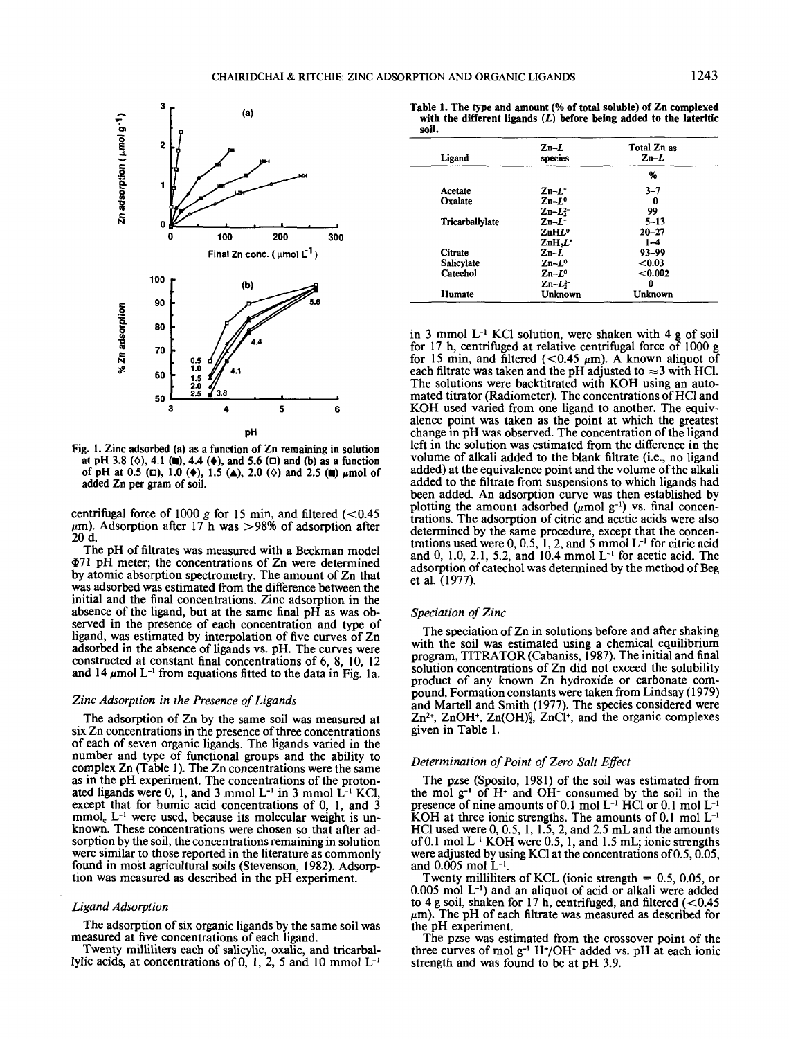

Fig. 1. Zinc adsorbed (a) as a function of Zn remaining in solution Fig. I. Zinc adsorbed (a) as a function of Zn remaining in solution at pH 3.8 ( $\diamond$ ), 4.1 (a), 4.4 ( $\diamond$ ), and 5.6 ( $\Box$ ) and (b) as a function of pH at 0.5 ( $\Box$ ), 1.0 ( $\blacklozenge$ ), 1.5 ( $\blacktriangle$ ), 2.0 ( $\diamond$ ) and 2.5 ( $\blacksquare$ )  $\mu$ mol of added Zn per gram of soil. added Zn per gram of soil.

centrifugal force of  $1000$  *g* for 15 min, and filtered  $\left($  < 0.45  $\mu$ m). Adsorption after 17 h was >98% of adsorption after 20 d. 20 d.

The pH of nitrates was measured with a Beckman model The pH of filtrates was measured with a Beckman model \$71 pH meter; the concentrations of Zn were determined if!71 pH meter; the concentrations of Zn were determined by atomic absorption spectrometry. The amount of Zn that by atomic absorption spectrometry. The amount of Zn that was adsorbed was estimated from the difference between the was adsorbed was estimated from the difference between the initial and the final concentrations. Zinc adsorption in the initial and the final concentrations. Zinc adsorption in the absence of the ligand, but at the same final pH as was ob- served in the presence of each concentration and type of served in the presence of each concentration and type of ligand, was estimated by interpolation of five curves of Zn ligand, was estimated by interpolation of five curves of Zn adsorbed in the absence of ligands vs. pH. The curves were adsorbed in the absence of ligands vs. pH. The curves were constructed at constant final concentrations of 6, 8, 10, 12 and 14  $\mu$ mol L<sup>-1</sup> from equations fitted to the data in Fig. 1a. absence of the ligand, but at the same final pH as was ob-

#### *Zinc Adsorption in the Presence of Ligands Zinc Adsorption in the Presence ofLigands*

The adsorption of Zn by the same soil was measured at The adsorption of Zn by the same soil was measured at six Zn concentrations in the presence of three concentrations six Zn concentrations in the presence ofthree concentrations of each of seven organic ligands. The ligands varied in the of each of seven organic ligands. The ligands varied in the number and type of functional groups and the ability to number and type of functional groups and the ability to complex Zn (Table 1). The Zn concentrations were the same complex Zn (Table 1). The Zn concentrations were the same as in the pH experiment. The concentrations of the proton-<br>ated ligands were 0, 1, and 3 mmol  $L^{-1}$  in 3 mmol  $L^{-1}$  KCl,<br>except that for humic acid concentrations of 0, 1, and 3 mmol<sub>c</sub> L<sup>-1</sup> were used, because its molecular weight is un-<br>known. These concentrations were chosen so that after ad-<br>sorption by the soil, the concentrations remaining in solution were similar to those reported in the literature as commonly<br>found in most agricultural soils (Stevenson, 1982). Adsorp-<br>tion was measured as described in the pH experiment. as in the pH experiment. The concentrations of the protonated ligands were 0, 1, and 3 mmol  $L^{-1}$  in 3 mmol  $L^{-1}$  KCl,  $mmol<sub>c</sub> L<sup>-1</sup>$  were used, because its molecular weight is unknown. These concentrations were chosen so that after adsorption by the soil, the concentrations remaining in solution were similar to those reported in the literature as commonly found in most agricultural soils (Stevenson, 1982). Adsorp-

#### *Ligand Adsorption Ligand Adsorption*

The adsorption of six organic ligands by the same soil was The adsorption of six organic ligands by the same soil was measured at five concentrations of each ligand.

measured at five concentrations of each ligand.<br>Twenty milliliters each of salicylic, oxalic, and tricarbal-<br>lylic acids, at concentrations of 0, 1, 2, 5 and 10 mmol  $L^{-1}$ Twenty milliliters each of salicylic, oxalic, and tricarballylic acids, at concentrations of  $0, 1, 2, 5$  and 10 mmol  $L^{-1}$ 

**with the different ligands** *(L)* **before being added to the lateritic soil.** soil.

| Ligand          | $Zn-L$<br>species    | Total Zn as<br>$_{\rm Zn-L}$ |
|-----------------|----------------------|------------------------------|
|                 |                      | %                            |
| Acetate         | $Zn-L$               | $3 - 7$                      |
| Oxalate         | $Zn-L^{\circ}$       | 0                            |
|                 | $Zn-L^2$             | 99                           |
| Tricarballylate | $Zn-L^-$             | $5 - 13$                     |
|                 | ZnH L <sup>o</sup>   | $20 - 27$                    |
|                 | $ZnH2L$ <sup>+</sup> | $1 - 4$                      |
| Citrate         | $Zn-L^-$             | $93 - 99$                    |
| Salicylate      | $Zn-L^o$             | ${<}0.03$                    |
| Catechol        | $Zn-L^{\circ}$       | < 0.002                      |
|                 | $Zn - L^2$           | 0                            |
| Humate          | Unknown              | Unknown                      |

in 3 mmol L-' KC1 solution, were shaken with 4 g of soil in 3 mmol L-I KCl solution, were shaken with 4 g of soil for 17 h, centrifuged at relative centrifugal force of 1000 g for 15 min, and filtered  $(<0.45 \mu m$ ). A known aliquot of each filtrate was taken and the pH adjusted to  $\approx$ 3 with HCl.<br>The solutions were backtitrated with KOH using an auto-<br>mated titrator (Radiometer). The concentrations of HCl and KOH used varied from one ligand to another. The equiv- alence point was taken as the point at which the greatest alence point was taken as the point at which the greatest change in pH was observed. The concentration of the ligand change in pH was observed. The concentration of the ligand left in the solution was estimated from the difference in the left in the solution was estimated from the difference in the volume of alkali added to the blank filtrate (i.e., no ligand volume of alkali added to the blank filtrate (i.e., no ligand added) at the equivalence point and the volume of the alkali added) at the equivalence point and the volume ofthe alkali added to the filtrate from suspensions to which ligands had been added. An adsorption curve was then established by been added. An adsorption curve was then established by plotting the amount adsorbed  $(\mu$ mol g<sup>-1</sup>) vs. final concenplotting the amount adsorbed  $(\mu \text{mol } g^{-1})$  vs. final concentrations. The adsorption of citric and acetic acids were also determined by the same procedure, except that the concentrations used were  $0, 0.5, 1, 2,$  and 5 mmol  $L^{-1}$  for citric acid and  $0, 1.0, 2.1, 5.2,$  and  $10.4$  mmol  $L^{-1}$  for acetic acid. The adsorption of catechol was determined by the method of Beg et al. (1977). et al. (1977). each filtrate was taken and the pH adjusted to  $\approx$  3 with HCl. The solutions were backtitrated with KOH using an auto-KOH used varied from one ligand to another. The equivtrations used were  $0, 0.5, 1, 2,$  and 5 mmol  $L^{-1}$  for citric acid

#### *Speciation of Zinc*

The speciation of Zn in solutions before and after shaking The speciation of Zn in solutions before and after shaking with the soil was estimated using a chemical equilibrium with the soil was estimated using a chemical equilibrium program, TITRATOR (Cabaniss, 1987). The initial and final program, TITRATOR (Cabaniss, 1987). The initial and final solution concentrations of Zn did not exceed the solubility product of any known Zn hydroxide or carbonate com-<br>pound. Formation constants were taken from Lindsay (1979) and Martell and Smith (1977). The species considered were and MartelI and Smith (1977). The species considered were  $Zn^{2+}$ ,  $ZnOH^{+}$ ,  $Zn(OH)^{0/2}$ ,  $ZnCl^{+}$ , and the organic complexes given in Table 1. given in Table I. pound. Formation constants were taken from Lindsay (1979)

## **Determination of Point of Zero Salt Effect**

The pzse (Sposito, 1981) of the soil was estimated from The pzse (Sposito, 1981) of the soil was estimated from the mol g-' of H+ and OH- consumed by the soil in the the mol g-I of H+ and OH- consumed by the soil in the presence of nine amounts of  $0.1 \text{ mol L}^{-1}$  HCl or  $0.1 \text{ mol L}^{-1}$ KOH at three ionic strengths. The amounts of  $0.1 \text{ mol } L^{-1}$ <br>HCl used were  $0, 0.5, 1, 1.5, 2,$  and  $2.5 \text{ mL}$  and the amounts of 0.1 mol  $L^{-1}$  KOH were 0.5, 1, and 1.5 mL; ionic strengths were adjusted by using KCl at the concentrations of 0.5, 0.05,<br>and 0.005 mol L<sup>-1</sup>.<br>Twenty milliliters of KCL (ionic strength = 0.5, 0.05, or KOH at three ionic strengths. The amounts of  $0.1$  mol  $L^{-1}$ were adjusted by using KCl at the concentrations of 0.5, 0.05, and  $0.005$  mol  $L^{-1}$ .

0.005 mol L-1 ) and an aliquot of acid or alkali were added 0.005 mol L-l) and an aliquot of acid or alkali were added to 4 g soil, shaken for 17 h, centrifuged, and filtered  $(<0.45$  $\mu$ m). The pH of each filtrate was measured as described for the pH experiment.

the pH experiment. The pzse was estimated from the crossover point of the The pzse was estimated from the crossover point of the three curves of mol  $g^{-1}$  H<sup>+</sup>/OH<sup>-</sup> added vs. pH at each ionic strength and was found to be at pH 3.9. strength and was found to be at pH 3.9.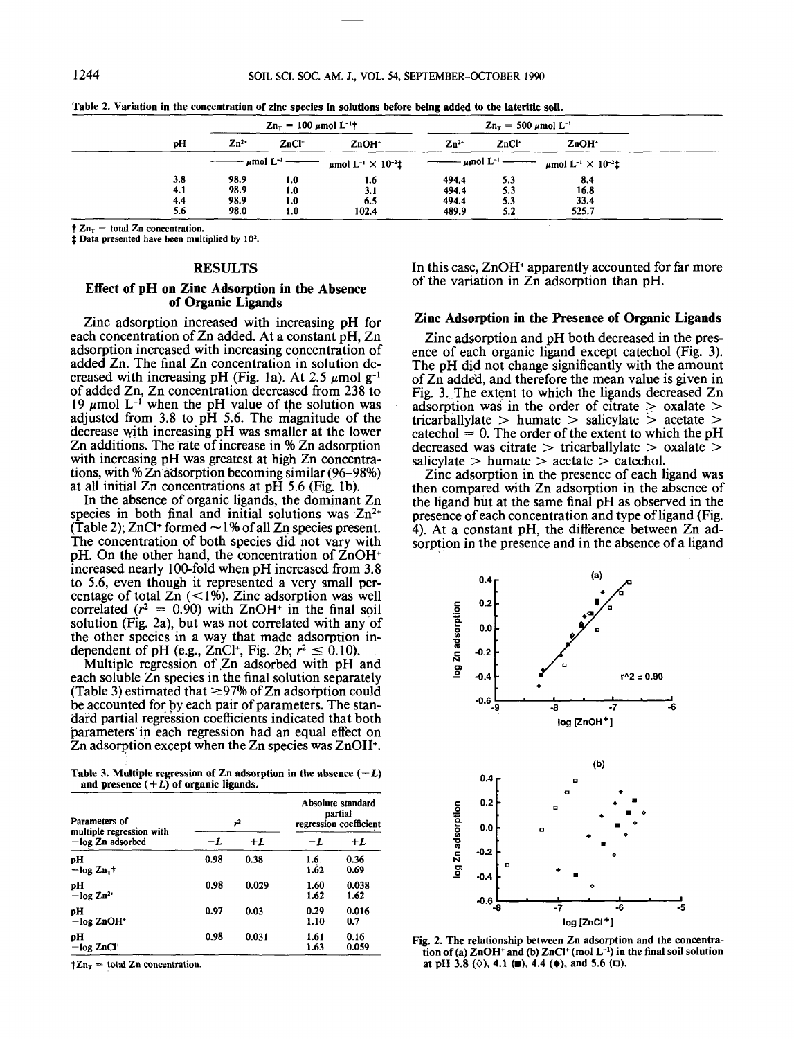1.6 3.1 6.5 102.4

|    | $Z_{n_{\tau}} = 100 \ \mu \text{mol} \ L^{-1}$ |                   |                   | $Z_{n_{\tau}} = 500 \ \mu \text{mol} \ L^{-1}$ |       |       |
|----|------------------------------------------------|-------------------|-------------------|------------------------------------------------|-------|-------|
| ъH | $Zn^{2+}$                                      | ZnCl <sup>+</sup> | ZnOH <sup>+</sup> | $Z_{n^{2+}}$                                   | ZnCl* | ZnOH* |

1.0 1.0 1.0 1.0

3.8 98.9 1.0 1.6 4.1 98.9 1.0 3.1 4.4 98.9 1.0 6.5 5.6 98.0 1.0 102.4

 $\dagger$  Zn<sub>T</sub> = total Zn concentration.<br> $\dagger$  Data presented have been multiplied by 10<sup>2</sup>.

3.8 4.1 4.4 5.6

## **RESULTS** RESULTS

98.9 98.9 98.9 98.0

#### **Effect of pH on Zinc Adsorption in the Absence** Effect of pH on Zinc Adsorption in the Absence **of Organic Ligands** of Organic Ligands

Zinc adsorption increased with increasing pH for Zinc adsorption increased with increasing pH for each concentration of Zn added. At a constant pH, Zn adsorption increased with increasing concentration of adsorption increased with increasing concentration of added Zn. The final Zn concentration in solution decreased with increasing pH (Fig. 1a). At 2.5  $\mu$ mol g<sup>-1</sup> of added Zn, Zn concentration decreased from 238 to 19  $\mu$ mol L<sup>-1</sup> when the pH value of the solution was adjusted from 3.8 to pH 5.6. The magnitude of the adjusted from 3.8 to pH 5.6. The magnitude of the decrease with increasing pH was smaller at the lower decrease with increasing pH was smaller at the lower Zn additions. The rate of increase in % Zn adsorption Zn additions. The 'rate of increase in % Zn adsorption with increasing pH was greatest at high Zn concentrations, with % Zn adsorption becoming similar (96–98%) added Zn. The final Zn concentration in solution decreased with increasing pH (Fig. 1a). At 2.5  $\mu$ mol g<sup>-1</sup> with increasing pH was greatest at high Zn concentra-

at all initial Zn concentrations at  $pH$  5.6 (Fig. 1b).<br>In the absence of organic ligands, the dominant Zn species in both final and initial solutions was  $Zn<sup>2+</sup>$ (Table 2); ZnCl+ formed  $\sim$  1% of all Zn species present.<br>The concentration of both species did not vary with pH. On the other hand, the concentration of ZnOH+ pH. On the other hand, the concentration of ZnOH+ increased nearly 100-fold when pH increased from 3.8 increased nearly 100-fold when pH increased from 3.8 to 5.6, even though it represented a very small per-<br>centage of total  $Zn$  (<1%). Zinc adsorption was well correlated  $(r^2 = 0.90)$  with  $ZnOH<sup>+</sup>$  in the final soil solution (Fig. 2a), but was not correlated with any of solution (Fig. 2a), but was not correlated with any of the other species in a way that made adsorption in-<br>dependent of pH (e.g., ZnCl<sup>+</sup>, Fig. 2b;  $r^2 \le 0.10$ ). dependent of pH (e.g., ZnCl<sup>+</sup>, Fig. 2b;  $r^2 \le 0.10$ ). In the absence of organic ligands, the dominant Zn The concentration of both species did not vary with to 5.6, even though it represented a very small per-

pendent of pH (e.g., ZnCl<sup>+</sup>, Fig. 2b;  $r^2 \le 0.10$ ).<br>Multiple regression of Zn adsorbed with pH and each soluble  $\overline{Z}$ n species in the final solution separately (Table 3) estimated that  $\geq$ 97% of Zn adsorption could be accounted for by each pair of parameters. The stan- dard partial regression coefficients indicated that both be accounted for py each pair of parameters. The stanparameters in each regression had an equal effect on  $Zn$  adsorption except when the  $Zn$  species was  $ZnOH<sup>+</sup>$ . dard partial regression coefficients indicated that both

Table 3. Multiple regression of Zn adsorption in the absence  $(-L)$  and presence  $(+L)$  of organic ligands. and presence  $(+L)$  of organic ligands.

| Parameters of<br>multiple regression with<br>$-\log Zn$ adsorbed | 72   |       | Absolute standard<br>partial<br>regression coefficient |               |
|------------------------------------------------------------------|------|-------|--------------------------------------------------------|---------------|
|                                                                  | -1.  | $+L$  | -L                                                     | $+L$          |
| pH<br>$-$ log $\mathbb{Z}n_{\tau}$ t                             | 0.98 | 0.38  | 1.6.<br>$1.\overline{6}2$                              | 0.36<br>0.69  |
| рH<br>$-\log Zn^{2+}$                                            | 0.98 | 0.029 | 1.60<br>1.62                                           | 0.038<br>1.62 |
| рH<br>$-\log ZnOH^*$                                             | 0.97 | 0.03  | 0.29<br>1.10                                           | 0.016<br>0.7  |
| pН<br>$-\log ZnCl^*$                                             | 0.98 | 0.031 | 1.61<br>1.63                                           | 0.16<br>0.059 |

 $\uparrow Zn_T = \text{total } Zn$  concentration.

In this case, ZnOH\* apparently accounted for far more In this case, ZnOH+ apparently accounted for far more of the variation in Zn adsorption than pH. of the variation in Zn adsorption than pH.

8.4 16.8 33.4

494.4 5.3 494.4 5.3 8.4 494.4 5.3 494.4 5.3 16.8 494.4 5.3 494.4 5.3 33.4

525.7 489.9 5.2 525.7

489.9 5.2

#### **Zinc Adsorption in the Presence of Organic Ligands** Zinc Adsorption in the Presence of Organic Ligands

Zinc adsorption and pH both decreased in the pres- ence of each organic ligand except catechol (Fig. 3). The pH djd not change significantly with the amount The pH did not change significantly with the amount of Zn addeti, and therefore the mean value is given in of Zn adde'd, and therefore the mean value is given in Fig. 3. The extent to which the ligands decreased Zn Fig. 3..The extent to which the ligands decreased Zn adsorption was in the order of citrate  $\geq$  oxalate  $>$  tricarballylate  $>$  humate  $>$  salicylate  $>$  acetate  $>$ tricarballylate  $>$  humate  $>$  salicylate  $>$  acetate  $>$  $\text{categorical} = 0$ . The order of the extent to which the pH decreased was citrate  $>$  tricarballylate  $>$  oxalate  $>$ salicylate  $>$  humate  $>$  acetate  $>$  catechol.<br>Zinc adsorption in the presence of each ligand was Zinc adsorption and pH both decreased in the presence of each organic ligand except catechol (Fig. 3). salicylate  $>$  humate  $>$  acetate  $>$  catechol.

then compared with Zn adsorption in the absence of then compared with Zn adsorption in the absence of the ligand but at the same final pH as observed in the presence of each concentration and type of ligand (Fig. 4). At a constant pH, the difference between Zn adsorption in the presence and in the absence of a ligand presence of each concentration and type of ligand (Fig. 4). At a constant pH, the difference between Zn ad sorption in the presence and in the absence of a ligand



**Fig. 2. The relationship between Zn adsorption and the concentra tion of (a) ZnOH<sup>+</sup> and (b) ZnCl<sup>+</sup> (mol L<sup>-1</sup>) in the final soil solution at pH 3.8 (** $\diamond$ **), 4.1 (** $\bullet$ **), 4.4 (** $\bullet$ **), and 5.6 (** $\Box$ **).** Fig. 2. The relationship between Zn adsorption and the concentration of (a)  $ZnOH^+$  and (b)  $ZnCl^+$  (mol  $L^{-1}$ ) in the final soil solution at pH 3.8 ( $\diamond$ ), 4.1 ( $\blacksquare$ ), 4.4 ( $\lozenge$ ), and 5.6 ( $\Box$ ).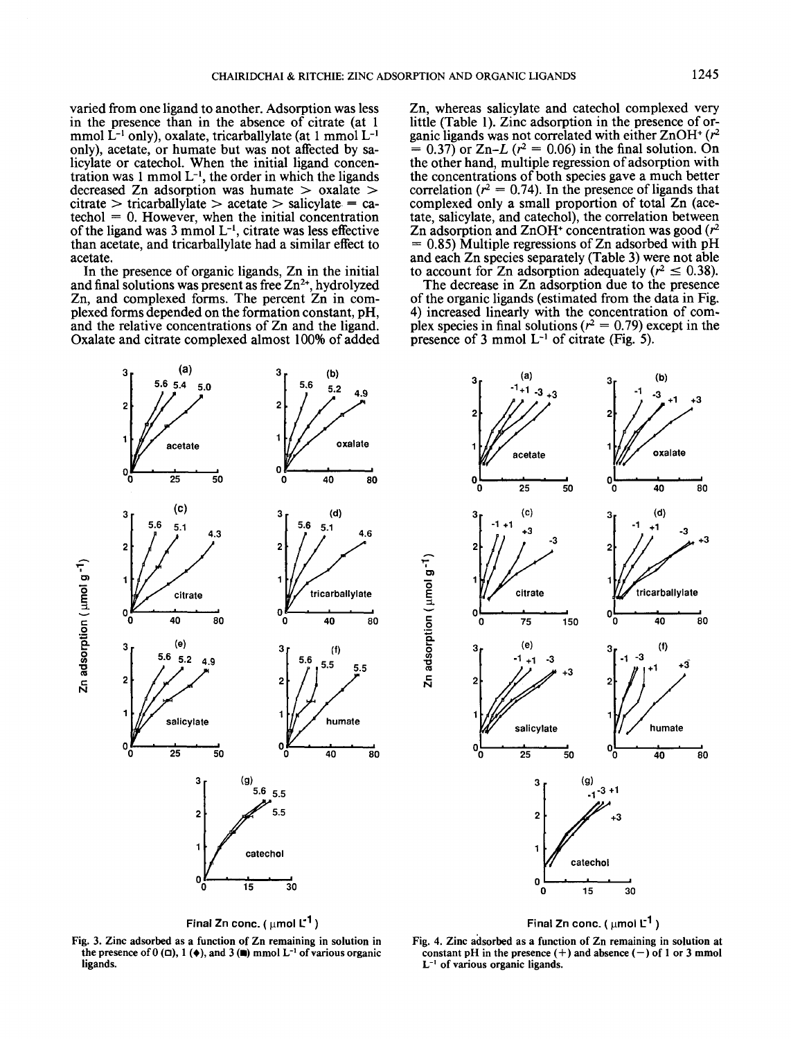varied from one ligand to another. Adsorption was less varied from one ligand to another. Adsorption was less in the presence than in the absence of citrate (at 1 mmol L<sup>-1</sup> only), oxalate, tricarballylate (at 1 mmol L<sup>-1</sup> only), acetate, or humate but was not affected by sa-<br>licylate or catechol. When the initial ligand concen-<br>tration was 1 mmol  $L^{-1}$ , the order in which the ligands decreased Zn adsorption was humate > oxalate > decreased Zn adsorption was humate > oxalate >  $citrate > tricarballylate > acetate > salicylate = ca-  
techol = 0. However, when the initial concentration$ of the ligand was  $3 \text{ mmol } L^{-1}$ , citrate was less effective than acetate, and tricarballylate had a similar effect to only), acetate, or humate but was not affected by salicylate or catechol. When the initial ligand concen $c$ itrate  $>$  tricarballylate  $>$  acetate  $>$  salicylate  $=$  caacetate.

acetate. In the presence of organic ligands, Zn in the initial In the presence of organic ligands, Zn in the initial and final solutions was present as free  $Zn^{2+}$ , hydrolyzed Zn, and complexed forms. The percent Zn in complexed forms depended on the formation constant, pH, and the relative concentrations of Zn and the ligand. Oxalate and citrate complexed almost 100% of added plexed forms depended on the formation constant, pH, and the relative concentrations of Zn and the ligand. Oxalate and citrate complexed almost 100% of added

Zn, whereas salicylate and catechol complexed very Zn, whereas salicylate and catechol complexed very little (Table 1). Zinc adsorption in the presence of or-<br>ganic ligands was not correlated with either ZnOH<sup>+</sup> (r<sup>2</sup>  $= 0.37$ ) or  $Zn-L$  ( $r^2 = 0.06$ ) in the final solution. On the other hand, multiple regression of adsorption with the other hand, multiple regression ofadsorption with the concentrations of both species gave a much better the concentrations of both species gave a much better correlation ( $r^2 = 0.74$ ). In the presence of ligands that complexed only a small proportion of total Zn (ace- tate, salicylate, and catechol), the correlation between tate, salicylate, and catechol), the correlation between  $\alpha$  adsorption and ZnOH+ concentration was good  $(r^2)$  $= 0.85$ ) Multiple regressions of Zn adsorbed with pH and each Zn species separately (Table 3) were not able and each Zn species separately (Table 3) were not able to account for Zn adsorption adequately ( $r^2 \le 0.38$ ).<br>The decrease in Zn adsorption due to the presence little (Table 1). Zinc adsorption in the presence of orcomplexed only a small proportion of total Zn (ace-

of the organic ligands (estimated from the data in Fig. 4) increased linearly with the concentration of com-<br>plex species in final solutions  $(r^2 = 0.79)$  except in the presence of 3 mmol  $L^{-1}$  of citrate (Fig. 5). The decrease in Zn adsorption due to the presence of the organic ligands (estimated from the data in Fig. 4) increased linearly with the concentration of complex species in final solutions ( $r^2 = 0.79$ ) except in the



**Final Zn conc. (**  $\mu$ mol  $L^1$ )

**Fig. 3. Zinc adsorbed as a function of Zn remaining in solution in** Fig. 3. Zinc adsorbed as a function of Zn remaining in solution in the presence of  $0 \infty$ ,  $1 \left( \phi \right)$ , and  $3 \left( \mathbf{m} \right)$  mmol L<sup>-1</sup> of various organic **ligands.** ligands.



Final Zn conc. (  $\mu$ mol  $\textrm{L}^{\textrm{1}}$  )  $^{1}$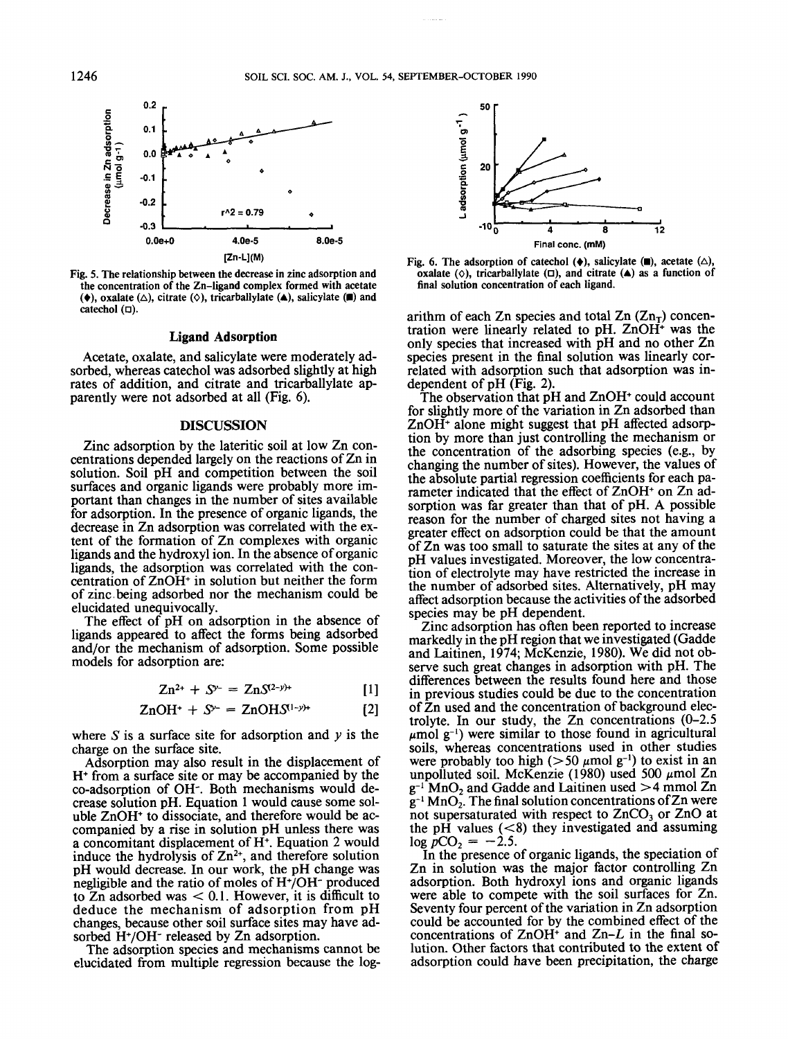

Fig. 5. The relationship between the decrease in zinc adsorption and Fig. 5. The relationship between the decrease in zinc adsorption and the concentration of the Zn-ligand complex formed with acetate the concentration of the Zn-ligand complex formed with acetate  $(\bullet)$ , oxalate  $(\triangle)$ , citrate  $(\diamond)$ , tricarballylate  $(\triangle)$ , salicylate  $(\blacksquare)$  and catechol  $(\square)$ .

#### **Ligand Adsorption** Ligand Adsorption

Acetate, oxalate, and salicylate were moderately ad- sorbed, whereas catechol was adsorbed slightly at high sorbed, whereas catechol was adsorbed slightly at high rates of addition, and citrate and tricarballylate apparently were not adsorbed at all (Fig. 6). Acetate, oxalate, and salicylate were moderately adparently were not adsorbed at all (Fig. 6).

### **DISCUSSION** DISCUSSION

Zinc adsorption by the lateritic soil at low Zn concentrations depended largely on the reactions of Zn in solution. Soil pH and competition between the soil surfaces and organic ligands were probably more im-<br>portant than changes in the number of sites available for adsorption. In the presence of organic ligands, the for adsorption. In the presence of organic ligands, the decrease in Zn adsorption was correlated with the ex- tent of the formation of Zn complexes with organic tent of the formation of Zn complexes with organic ligands and the hydroxyl ion. In the absence of organic ligands, the adsorption was correlated with the con-<br>centration of ZnOH+ in solution but neither the form of zinc being adsorbed nor the mechanism could be elucidated unequivocally. The effect of pH on adsorption in the absence of The effect of pH on adsorption in the absence of Zinc adsorption by the lateritic soil at low Zn conportant than changes in the number of sites available decrease in Zn adsorption was correlated with the exligands, the adsorption was correlated with the conelucidated unequivocally.

ligands appeared to affect the forms being adsorbed ligands appeared to affect the forms being adsorbed and/or the mechanism of adsorption. Some possible and/or the mechanism of adsorption. Some possible models for adsorption are: models for adsorption are:

$$
Zn^{2+} + S^{\nu-} = ZnS^{(2-\nu)+}
$$
 [1]

$$
ZnOH^{+} + S^{\gamma -} = ZnOHS^{(1-\gamma)+}
$$
 [2]

where  $S$  is a surface site for adsorption and  $y$  is the charge on the surface site.

charge on the surface site. Adsorption may also result in the displacement of Adsorption may also result in the displacement of H+ from a surface site or may be accompanied by the H+ from a surface site or may be accompanied by the co-adsorption of OH<sup>-</sup>. Both mechanisms would de-<br>crease solution pH. Equation 1 would cause some sol-<br>uble ZnOH<sup>+</sup> to dissociate, and therefore would be acuble ZnOH<sup>+</sup> to dissociate, and therefore would be accompanied by a rise in solution pH unless there was a concomitant displacement of H+ . Equation 2 would a concomitant displacement of H+. Equation 2 would induce the hydrolysis of  $Zn^{2+}$ , and therefore solution pH would decrease. In our work, the pH change was negligible and the ratio of moles of H+ /OH~ produced negligible and the ratio of moles ofH+/OH- produced to  $Zn$  adsorbed was  $< 0.1$ . However, it is difficult to deduce the mechanism of adsorption from pH<br>changes, because other soil surface sites may have ad-<br>sorbed H+/OH<sup>-</sup> released by Zn adsorption. crease solution pH. Equation 1 would cause some solcompanied by a rise in solution pH unless there was deduce the mechanism of adsorption from pH changes, because other soil surface sites may have adsorbed H<sup>+</sup>/OH<sup>-</sup> released by Zn adsorption.

orbed H<sup>+</sup>/OH<sup>-</sup> released by Zn adsorption.<br>The adsorption species and mechanisms cannot be elucidated from multiple regression because the log-



Fig. 6. The adsorption of catechol  $(\diamondsuit)$ , salicylate  $(\blacksquare)$ , acetate  $(\triangle)$ , oxalate  $(\diamondsuit)$ , tricarballylate  $(\square)$ , and citrate  $(\triangle)$  as a function of final solution concentration of each ligand. final solution concentration of each ligand. Fig. 6. The adsorption of catechol  $(\bullet)$ , salicylate  $(\blacksquare)$ , acetate  $(\triangle)$ ,

arithm of each Zn species and total  $Zn (Zn_T)$  concentration were linearly related to pH.  $ZnOH<sup>+</sup>$  was the only species that increased with pH and no other Zn species present in the final solution was linearly cor-<br>related with adsorption such that adsorption was in-<br>dependent of pH (Fig. 2).<br>The observation that pH and ZnOH<sup>+</sup> could account arithm of each Zn species and total  $\text{Zn}$  ( $\text{Zn}_{\text{T}}$ ) concenspecies present in the final solution was linearly correlated with adsorption such that adsorption was independent of pH (Fig. 2).

for slightly more of the variation in Zn adsorbed than  $ZnOH<sup>+</sup>$  alone might suggest that pH affected adsorption by more than just controlling the mechanism or the concentration of the adsorbing species (e.g., by changing the number of sites). However, the values of the absolute partial regression coefficients for each pa- rameter indicated that the effect of ZnOH+ rameter indicated that the effect of ZnOH+ on Zn adrameter indicated that the effect of ZnOH<sup>+</sup> on Zn adsorption was far greater than that of pH. A possible reason for the number of charged sites not having a greater effect on adsorption could be that the amount greater effect on adsorption could be that the amount of Zn was too small to saturate the sites at any of the of Zn was too small to saturate the sites at any of the pH values investigated. Moreover, the low concentra- tion of electrolyte may have restricted the increase in tion of electrolyte may have restricted the increase in the number of adsorbed sites. Alternatively, pH may the number of adsorbed sites. Alternatively, pH may affect adsorption because the activities of the adsorbed affect adsorption because the activities ofthe adsorbed tion by more than just controlling the mechanism or the absolute partial regression coefficients for each papH values investigated. Moreover, the low concentraspecies may be pH dependent.

species may be pH dependent. Zinc adsorption has often been reported to increase Zinc adsorption has often been reported to increase markedly in the pH region that we investigated (Gadde markedly in the pH region that we investigated (Gadde and Laitinen, 1974; McKenzie, 1980). We did not ob- serve such great changes in adsorption with pH. The serve such great changes in adsorption with pH. The differences between the results found here and those differences between the results found here and those in previous studies could be due to the concentration in previous studies could be due to the concentration of Zn used and the concentration of background elec- trolyte. In our study, the Zn concentrations (0-2.5 trolyte. In our study, the Zn concentrations (0-2.5  $\mu$ mol g<sup>-1</sup>) were similar to those found in agricultural soils, whereas concentrations used in other studies soils, whereas concentrations used in other studies were probably too high  $(>50 \mu mol g^{-1})$  to exist in an unpolluted soil. McKenzie (1980) used 500  $\mu$ mol Zn  $g^{-1}$  MnO<sub>2</sub> and Gadde and Laitinen used  $>4$  mmol Zn  $g^{-1}$  MnO<sub>2</sub>. The final solution concentrations of Zn were not supersaturated with respect to ZnCO<sub>3</sub> or ZnO at the pH values  $\leq$ 8) they investigated and assuming and Laitinen, 1974; McKenzie, 1980). We did not obofZn used and the concentration of background elec $log pCO<sub>2</sub> = -2.5.$ 

 $\log pCO_2 = -2.5$ . In the presence of organic ligands, the speciation of Zn in solution was the major factor controlling Zn Zn in solution was the major factor controlling Zn adsorption. Both hydroxyl ions and organic ligands adsorption. Both hydroxyl ions and organic ligands were able to compete with the soil surfaces for Zn.<br>Seventy four percent of the variation in Zn adsorption could be accounted for by the combined effect of the could be accounted for by the combined effect of the concentrations of ZnOH<sup>+</sup> and Zn-L in the final soconcentrations of  $ZnOH<sup>+</sup>$  and  $Zn-L$  in the final solution. Other factors that contributed to the extent of adsorption could have been precipitation, the charge adsorption could have been precipitation, the charge Seventy four percent of the variation in Zn adsorption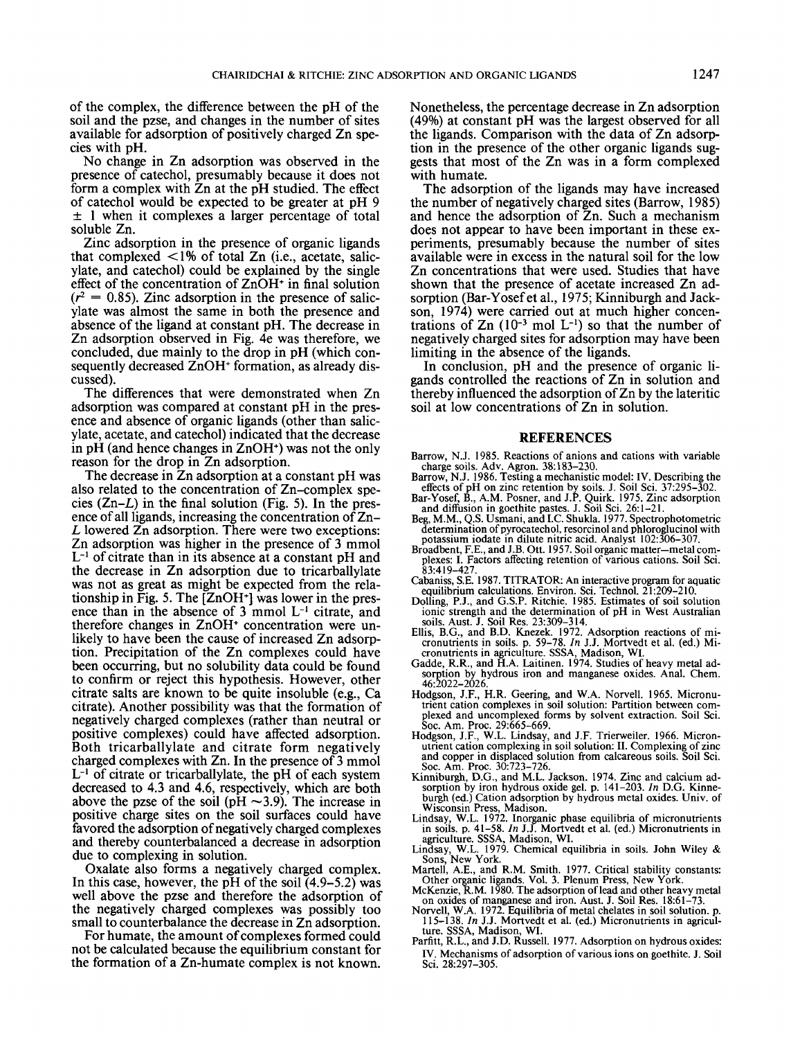of the complex, the difference between the pH of the soil and the pzse, and changes in the number of sites soil and the pzse, and changes in the number of sites available for adsorption of positively charged Zn spe- cies with pH. No change in Zn adsorption was observed in the No change in Zn adsorption was observed in the available for adsorption of positively charged Zn species with pH.

presence of catechol, presumably because it does not presence of catechol, presumably because it does not form a complex with Zn at the pH studied. The effect of catechol would be expected to be greater at pH 9 of catechol would be expected to be greater at pH 9 ± 1 when it complexes a larger percentage of total ± 1 when it complexes a larger percentage of total soluble Zn.

soluble Zn. Zinc adsorption in the presence of organic ligands Zinc adsorption in the presence of organic ligands that complexed  $\langle 1\%$  of total Zn (i.e., acetate, salic-<br>ylate, and catechol) could be explained by the single effect of the concentration of ZnOH+ in final solution effect of the concentration of ZnOH+ in final solution  $(r^2 = 0.85)$ . Zinc adsorption in the presence of salic-<br>ylate was almost the same in both the presence and absence of the ligand at constant pH. The decrease in absence of the ligand at constant pH. The decrease in Zn adsorption observed in Fig. 4e was therefore, we Zn adsorption observed in Fig. 4e was therefore, we concluded, due mainly to the drop in pH (which con-<br>sequently decreased ZnOH<sup>+</sup> formation, as already dissequently decreased ZnOH<sup>+</sup> formation, as already dis-<br>cussed).<br>The differences that were demonstrated when Zn that complexed  $\langle 1\% \rangle$  of total Zn (i.e., acetate, salicylate was almost the same in both the presence and cussed).

adsorption was compared at constant pH in the pres-<br>ence and absence of organic ligands (other than salic-<br>ylate, acetate, and catechol) indicated that the decrease in pH (and hence changes in ZnOH<sup>+</sup> ) was not the only in pH (and hence changes in ZnOH+) was not the only reason for the drop in Zn adsorption. The decrease in Zn adsorption at a constant pH was The decrease in Zn adsorption at a constant pH was The differences that were demonstrated when Zn adsorption was compared at constant pH in the presence and absence of organic ligands (other than salicylate, acetate, and catechol) indicated that the decrease reason for the drop in Zn adsorption.

also related to the concentration of Zn-complex species  $(Zn-L)$  in the final solution (Fig. 5). In the presence of all ligands, increasing the concentration of Zn-<br>*L* lowered Zn adsorption. There were two exceptions: Zn adsorption was higher in the presence of 3 mmol Zn adsorption was higher in the presence of 3 mmol  $L^{-1}$  of citrate than in its absence at a constant pH and the decrease in Zn adsorption due to tricarballylate the decrease in Zn adsorption due to tricarballylate was not as great as might be expected from the relationship in Fig. 5. The [ZnOH<sup>+</sup>] was lower in the prestionship in Fig. 5. The  $[ZnOH^+]$  was lower in the pres-<br>ence than in the absence of 3 mmol  $L^{-1}$  citrate, and therefore changes in ZnOH<sup>+</sup> concentration were un-<br>likely to have been the cause of increased Zn adsorp-<br>tion. Precipitation of the Zn complexes could have been occurring, but no solubility data could be found to confirm or reject this hypothesis. However, other to confirm or reject this hypothesis. However, other citrate salts are known to be quite insoluble (e.g., Ca citrate salts are known to be quite insoluble (e.g., Ca citrate). Another possibility was that the formation of citrate). Another possibility was that the formation of negatively charged complexes (rather than neutral or negatively charged complexes (rather than neutral or positive complexes) could have affected adsorption. Both tricarballylate and citrate form negatively charged complexes with Zn. In the presence of 3 mmol charged complexes with Zn. In the presence of 3 mmol  $L^{-1}$  of citrate or tricarballylate, the pH of each system decreased to 4.3 and 4.6, respectively, which are both decreased to 4.3 and 4.6, respectively, which are both above the pzse of the soil (pH  $\sim$ 3.9). The increase in positive charge sites on the soil surfaces could have positive charge sites on the soil surfaces could have favored the adsorption of negatively charged complexes favored the adsorption ofnegatively charged complexes and thereby counterbalanced a decrease in adsorption and thereby counterbalanced a decrease in adsorption cies  $(Zn-L)$  in the final solution (Fig. 5). In the presence of all ligands, increasing the concentration of  $Zn-$ L lowered  $\overline{Z}$ n adsorption. There were two exceptions: tionship in Fig. 5. The  $[ZnOH<sup>+</sup>]$  was lower in the preslikely to have been the cause of increased Zn adsorption. Precipitation of the Zn complexes could have positive complexes) could have affected adsorption. Both tricarballylate and citrate form negatively due to complexing in solution.

due to complexing in solution.<br>Oxalate also forms a negatively charged complex.<br>In this case, however, the pH of the soil (4.9–5.2) was well above the pzse and therefore the adsorption of well above the pzse and therefore the adsorption of the negatively charged complexes was possibly too the negatively charged complexes was possibly too small to counterbalance the decrease in Zn adsorption.<br>For humate, the amount of complexes formed could Oxalate also forms a negatively charged complex. In this case, however, the pH of the soil  $(4.9-5.2)$  was

not be calculated because the equilibrium constant for not be calculated because the equilibrium constant for the formation of a Zn-humate complex is not known. the formation of a Zn-humate complex is not known. For humate, the amount of complexes formed could

Nonetheless, the percentage decrease in Zn adsorption Nonetheless, the percentage decrease in Zn adsorption (49%) at constant pH was the largest observed for all (49%) at constant pH was the largest observed for all the ligands. Comparison with the data of Zn adsorption in the presence of the other organic ligands suggests that most of the Zn was in a form complexed the ligands. Comparison with the data of Zn adsorption in the presence of the other organic ligands sugwith humate.

with humate. The adsorption of the ligands may have increased The adsorption of the ligands may have increased the number of negatively charged sites (Barrow, 1985) the number of negatively charged sites (Barrow, 1985) and hence the adsorption of Zn. Such a mechanism and hence the adsorption of Zn. Such a mechanism does not appear to have been important in these ex- periments, presumably because the number of sites periments, presumably because the number of sites available were in excess in the natural soil for the low available were in excess in the natural soil for the low Zn concentrations that were used. Studies that have Zn concentrations that were used. Studies that have shown that the presence of acetate increased Zn adsorption (Bar-Yosef et al., 1975; Kinniburgh and Jackson, 1974) were carried out at much higher concentrations of Zn  $(10^{-3} \text{ mol L}^{-1})$  so that the number of negatively charged sites for adsorption may have been negatively charged sites for adsorption may have been does not appear to have been important in these exshown that the presence of acetate increased Zn adsorption (Bar-Yosefet al., 1975; Kinniburgh and Jackson, 1974) were carried out at much higher concenlimiting in the absence of the ligands.

limiting in the absence of the ligands. In conclusion, pH and the presence of organic li- gands controlled the reactions of Zn in solution and gands controlled the reactions of Zn in solution and thereby influenced the adsorption of Zn by the lateritic thereby influenced the adsorption ofZn by the lateritic soil at low concentrations of Zn in solution. soil at low concentrations of Zn in solution. In conclusion, pH and the presence of organic li-

#### REFERENCES

- Barrow, N.J. 1985. Reactions of anions and cations with variable charge soils. Adv. Agron. 38:183-230.
- Barrow, N.J. 1986. Testing a mechanistic model: IV. Describing the effects of pH on zinc retention by soils. J. Soil Sci. 37:295-302.
- Bar-Yosef, B., A.M. Posner, and J.P. Quirk. 1975. Zinc adsorption and diffusion in goethite pastes. J. Soil Sci. 26:1-21.
- Beg, M.M., Q.S. Usmani, and I.C. Shukla. 1977. Spectrophotometric determination of pyrocatechol, resorcinol and phloroglucinol with potassium iodate in dilute nitric acid. Analyst 102:306–307.
- Broadbent, F.E., and J.B. Ott. 1957. Soil organic matter-metal com- plexes: I. Factors affecting retention of various cations. Soil Sci. 83:419-427.
- Cabaniss, S.E. 1987. TITRATOR: An interactive program for aquatic equilibrium calculations. Environ. Sci. Technol. 21 :209-210. Dolling, P.J., and G.S.P. Ritchie. 1985. Estimates of soil solution
- ionic strength and the determination of pH in West Australian soils. Aust. J. Soil Res. 23:309-314.
- Ellis, B.G., and B.D. Knezek. 1972. Adsorption reactions of mi-cronutrients in soils. p. 59-78. *In* J.J. Mortvedt et al. (ed.) Mi-
- cronutrients in agriculture. SSSA, Madison, WI. Gadde, R.R., and H.A. Laitinen. 1974. Studies of heavy metal adsorption by hydrous iron and manganese oxides. Anal. Chern. 46:2022-2026.
- Hodgson, J.F., H.R. Geering, and W.A. Norvell. 1965. Micronu-<br>trient cation complexes in soil solution: Partition between complexed and uncomplexed forms by solvent extraction. Soil Sci. Soc. Am. Proc. 29:665-669.
- Hodgson, J.F., W.L. Lindsay, and J.F. Trierweiler. 1966. Micron-utrient cation complexing in soil solution: II. Complexing of zinc and copper in displaced solution from calcareous soils. Soil Sci. Soc. Am. Proc. 30:7
- Kinniburgh, D.G., and M.L. Jackson. 1974. Zinc and calcium ad-sorption by iron hydrous oxide gel. p. 141-203. *In* D.G. Kinneburgh (ed.) Cation adsorption by hydrous metal oxides. Univ. of Wisconsin Press, Madison.
- Lindsay, W.L. 1972. Inorganic phase equilibria of micronutrients in soils. p. 41-58. *In* J.J. Mortvedt et al. (ed.) Micronutrients in
- agriculture. SSSA, Madison, WI. Lindsay, W.L. 1979. Chemical equilibria in soils. John Wiley & Sons, New York.
- Martell, A.E., and R.M. Smith. 1977. Critical stability constants:<br>Other organic ligands. Vol. 3. Plenum Press, New York.<br>McKenzie, R.M. 1980. The adsorption of lead and other heavy metal<br>on oxides of manganese and iron. A
- 
- Norvell, W.A. 1972. Equilibria of metal chelates in soil solution. p. *115-138. In* J.J. Mortvedt et al. (ed.) Micronutrients in agriculture. SSSA, Madison, WI.
- Parfitt, R.L., and J.D. Russell. 1977. Adsorption on hydrous oxides: IV. Mechanisms of adsorption of various ions on goethite. J. Soil Sci. 28:297-305.